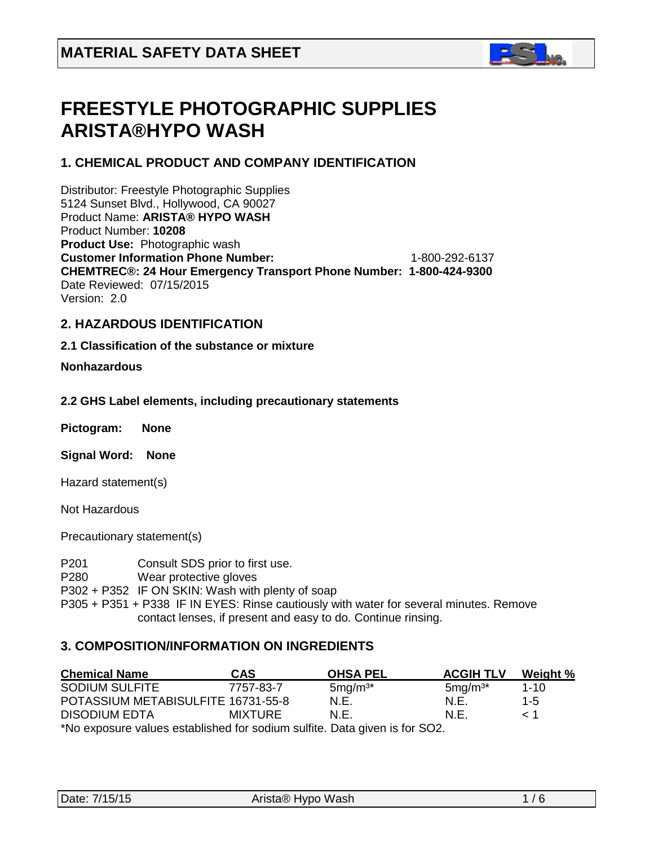

# **FREESTYLE PHOTOGRAPHIC SUPPLIES ARISTA®HYPO WASH**

# **1. CHEMICAL PRODUCT AND COMPANY IDENTIFICATION**

Distributor: Freestyle Photographic Supplies 5124 Sunset Blvd., Hollywood, CA 90027 Product Name: **ARISTA® HYPO WASH** Product Number: **10208 Product Use:** Photographic wash **Customer Information Phone Number:** 1-800-292-6137 **CHEMTREC®: 24 Hour Emergency Transport Phone Number: 1-800-424-9300**  Date Reviewed: 07/15/2015 Version: 2.0

# **2. HAZARDOUS IDENTIFICATION**

### **2.1 Classification of the substance or mixture**

### **Nonhazardous**

### **2.2 GHS Label elements, including precautionary statements**

| Pictogram: | <b>None</b> |
|------------|-------------|
|------------|-------------|

**Signal Word: None**

Hazard statement(s)

Not Hazardous

Precautionary statement(s)

P201 Consult SDS prior to first use.

P280 Wear protective gloves

P302 + P352 IF ON SKIN: Wash with plenty of soap

P305 + P351 + P338 IF IN EYES: Rinse cautiously with water for several minutes. Remove contact lenses, if present and easy to do. Continue rinsing.

### **3. COMPOSITION/INFORMATION ON INGREDIENTS**

| <b>Chemical Name</b>                                                       | <b>CAS</b>     | <b>OHSA PEL</b> | <b>ACGIH TLV</b> | Weight % |
|----------------------------------------------------------------------------|----------------|-----------------|------------------|----------|
| <b>SODIUM SULFITE</b>                                                      | 7757-83-7      | $5mg/m3*$       | $5mg/m3*$        | $1 - 10$ |
| POTASSIUM METABISULFITE 16731-55-8                                         |                | N.E.            | N.E.             | $1 - 5$  |
| <b>DISODIUM EDTA</b>                                                       | <b>MIXTURE</b> | N.F.            | N.F.             | $\leq 1$ |
| *No exposure values established for sodium sulfite. Data given is for SO2. |                |                 |                  |          |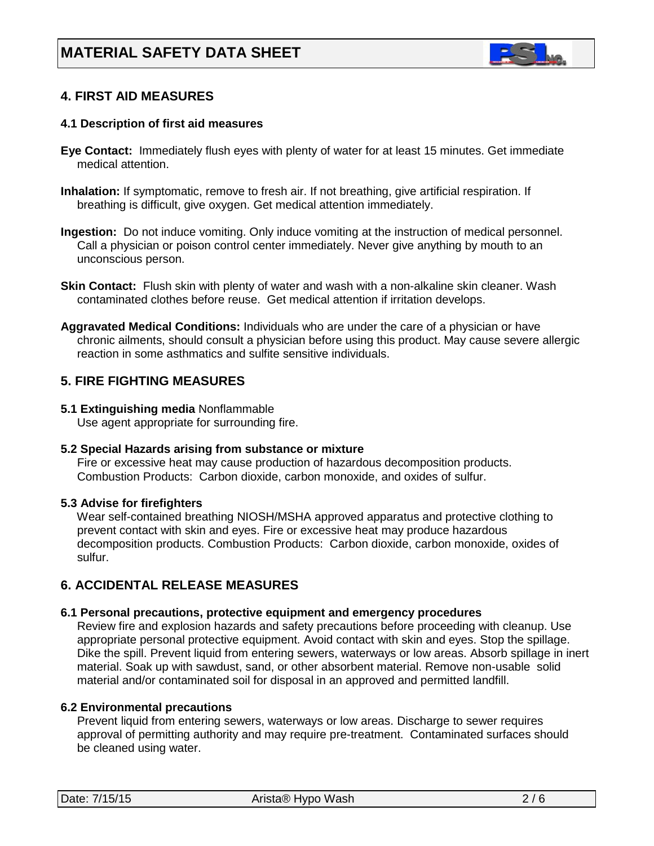

# **4. FIRST AID MEASURES**

### **4.1 Description of first aid measures**

- **Eye Contact:** Immediately flush eyes with plenty of water for at least 15 minutes. Get immediate medical attention.
- **Inhalation:** If symptomatic, remove to fresh air. If not breathing, give artificial respiration. If breathing is difficult, give oxygen. Get medical attention immediately.
- **Ingestion:** Do not induce vomiting. Only induce vomiting at the instruction of medical personnel. Call a physician or poison control center immediately. Never give anything by mouth to an unconscious person.
- **Skin Contact:** Flush skin with plenty of water and wash with a non-alkaline skin cleaner. Wash contaminated clothes before reuse. Get medical attention if irritation develops.
- **Aggravated Medical Conditions:** Individuals who are under the care of a physician or have chronic ailments, should consult a physician before using this product. May cause severe allergic reaction in some asthmatics and sulfite sensitive individuals.

### **5. FIRE FIGHTING MEASURES**

**5.1 Extinguishing media** Nonflammable Use agent appropriate for surrounding fire.

### **5.2 Special Hazards arising from substance or mixture**

 Fire or excessive heat may cause production of hazardous decomposition products. Combustion Products: Carbon dioxide, carbon monoxide, and oxides of sulfur.

#### **5.3 Advise for firefighters**

Wear self-contained breathing NIOSH/MSHA approved apparatus and protective clothing to prevent contact with skin and eyes. Fire or excessive heat may produce hazardous decomposition products. Combustion Products: Carbon dioxide, carbon monoxide, oxides of sulfur.

### **6. ACCIDENTAL RELEASE MEASURES**

#### **6.1 Personal precautions, protective equipment and emergency procedures**

Review fire and explosion hazards and safety precautions before proceeding with cleanup. Use appropriate personal protective equipment. Avoid contact with skin and eyes. Stop the spillage. Dike the spill. Prevent liquid from entering sewers, waterways or low areas. Absorb spillage in inert material. Soak up with sawdust, sand, or other absorbent material. Remove non-usable solid material and/or contaminated soil for disposal in an approved and permitted landfill.

#### **6.2 Environmental precautions**

 Prevent liquid from entering sewers, waterways or low areas. Discharge to sewer requires approval of permitting authority and may require pre-treatment. Contaminated surfaces should be cleaned using water.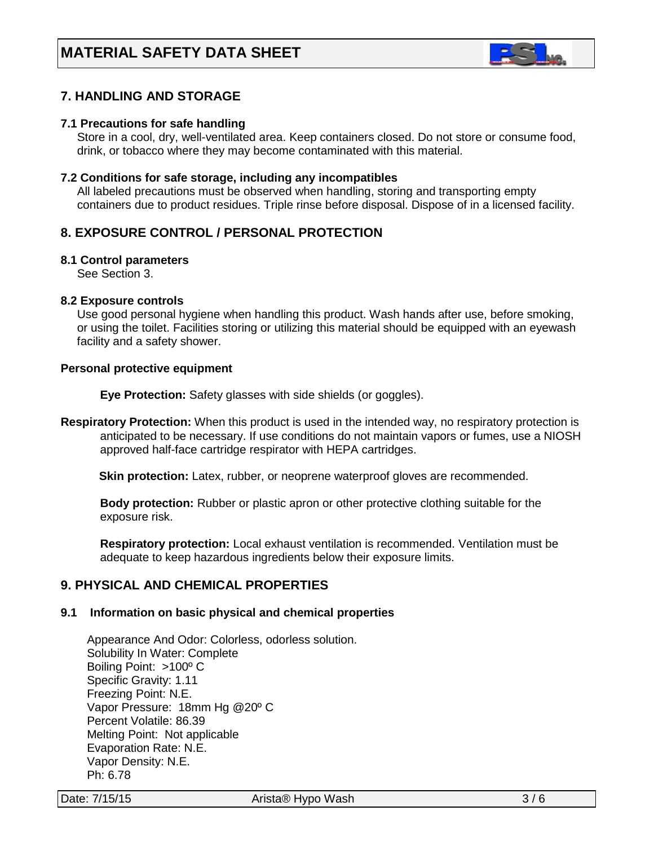

# **7. HANDLING AND STORAGE**

#### **7.1 Precautions for safe handling**

 Store in a cool, dry, well-ventilated area. Keep containers closed. Do not store or consume food, drink, or tobacco where they may become contaminated with this material.

#### **7.2 Conditions for safe storage, including any incompatibles**

All labeled precautions must be observed when handling, storing and transporting empty containers due to product residues. Triple rinse before disposal. Dispose of in a licensed facility.

### **8. EXPOSURE CONTROL / PERSONAL PROTECTION**

### **8.1 Control parameters**

See Section 3.

#### **8.2 Exposure controls**

Use good personal hygiene when handling this product. Wash hands after use, before smoking, or using the toilet. Facilities storing or utilizing this material should be equipped with an eyewash facility and a safety shower.

#### **Personal protective equipment**

**Eye Protection:** Safety glasses with side shields (or goggles).

**Respiratory Protection:** When this product is used in the intended way, no respiratory protection is anticipated to be necessary. If use conditions do not maintain vapors or fumes, use a NIOSH approved half-face cartridge respirator with HEPA cartridges.

Skin protection: Latex, rubber, or neoprene waterproof gloves are recommended.

 **Body protection:** Rubber or plastic apron or other protective clothing suitable for the exposure risk.

 **Respiratory protection:** Local exhaust ventilation is recommended. Ventilation must be adequate to keep hazardous ingredients below their exposure limits.

### **9. PHYSICAL AND CHEMICAL PROPERTIES**

#### **9.1 Information on basic physical and chemical properties**

Appearance And Odor: Colorless, odorless solution. Solubility In Water: Complete Boiling Point: >100º C Specific Gravity: 1.11 Freezing Point: N.E. Vapor Pressure: 18mm Hg @20º C Percent Volatile: 86.39 Melting Point: Not applicable Evaporation Rate: N.E. Vapor Density: N.E. Ph: 6.78

Date: 7/15/15 **Date: 7/15/15 Arista® Hypo Wash 3/6**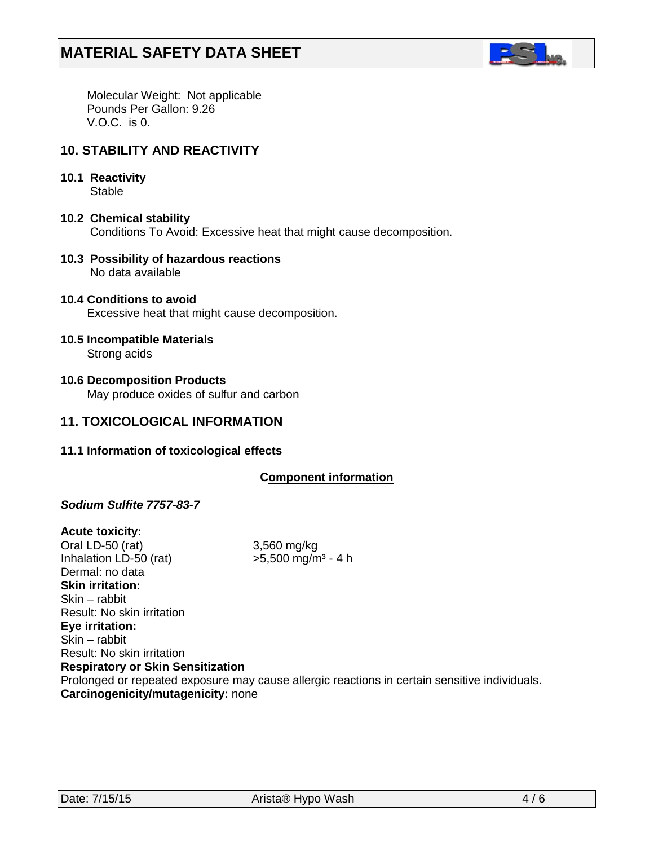

 Molecular Weight: Not applicable Pounds Per Gallon: 9.26 V.O.C. is 0.

### **10. STABILITY AND REACTIVITY**

**10.1 Reactivity**

**Stable** 

- **10.2 Chemical stability** Conditions To Avoid: Excessive heat that might cause decomposition.
- **10.3 Possibility of hazardous reactions** No data available
- **10.4 Conditions to avoid** Excessive heat that might cause decomposition.
- **10.5 Incompatible Materials** Strong acids
- **10.6 Decomposition Products** May produce oxides of sulfur and carbon

### **11. TOXICOLOGICAL INFORMATION**

**11.1 Information of toxicological effects**

### **C***C***omponent information**

### *Sodium Sulfite 7757-83-7*

**Acute toxicity:** Oral LD-50 (rat) 3,560 mg/kg Inhalation LD-50 (rat)  $>5,500$  mg/m<sup>3</sup> - 4 h Dermal: no data **Skin irritation:**  Skin – rabbit Result: No skin irritation **Eye irritation:**  Skin – rabbit Result: No skin irritation **Respiratory or Skin Sensitization** Prolonged or repeated exposure may cause allergic reactions in certain sensitive individuals. **Carcinogenicity/mutagenicity:** none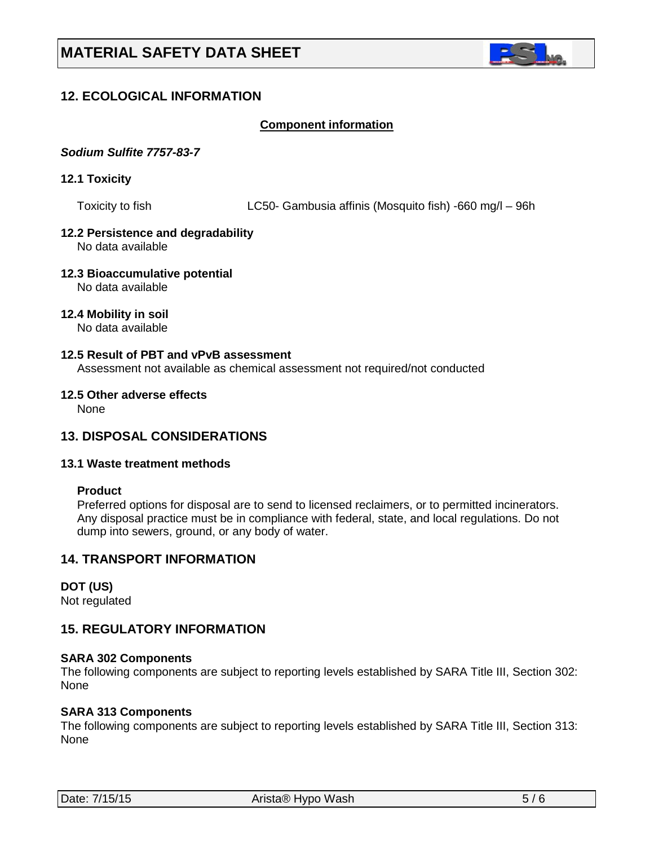

# **12. ECOLOGICAL INFORMATION**

### *<sup>U</sup>***Component information**

### *Sodium Sulfite 7757-83-7*

### **12.1 Toxicity**

Toxicity to fish LC50- Gambusia affinis (Mosquito fish) -660 mg/l – 96h

# **12.2 Persistence and degradability**

No data available

#### **12.3 Bioaccumulative potential** No data available

### **12.4 Mobility in soil**

No data available

### **12.5 Result of PBT and vPvB assessment**

Assessment not available as chemical assessment not required/not conducted

### **12.5 Other adverse effects**

None

### **13. DISPOSAL CONSIDERATIONS**

### **13.1 Waste treatment methods**

#### **Product**

Preferred options for disposal are to send to licensed reclaimers, or to permitted incinerators. Any disposal practice must be in compliance with federal, state, and local regulations. Do not dump into sewers, ground, or any body of water.

### **14. TRANSPORT INFORMATION**

#### **DOT (US)**

Not regulated

### **15. REGULATORY INFORMATION**

### **SARA 302 Components**

The following components are subject to reporting levels established by SARA Title III, Section 302: None

### **SARA 313 Components**

The following components are subject to reporting levels established by SARA Title III, Section 313: None